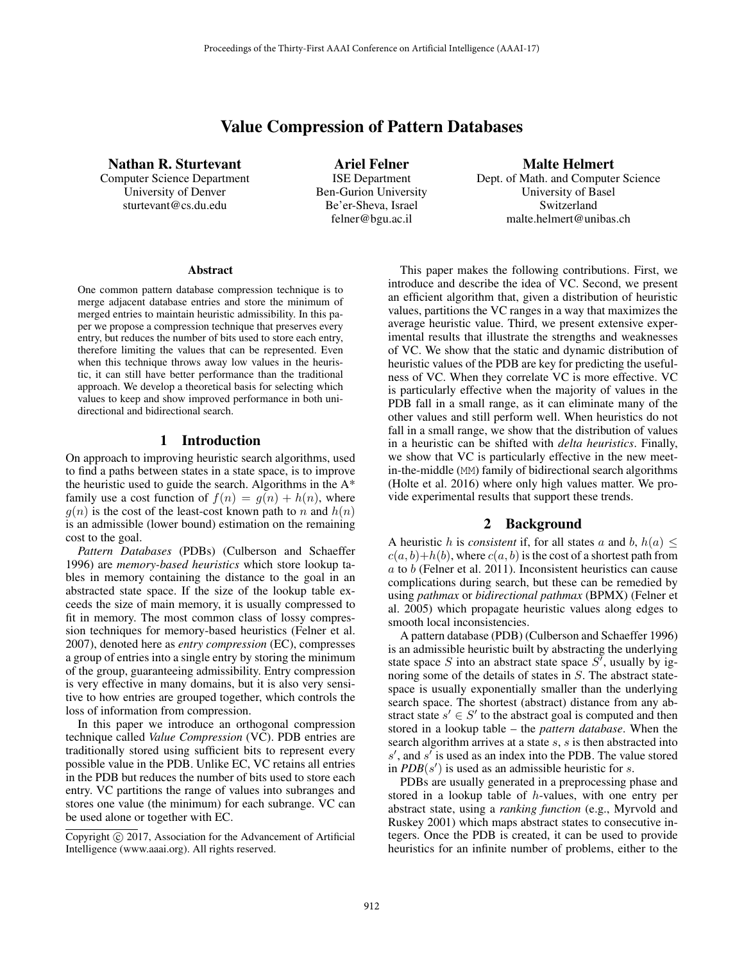# Value Compression of Pattern Databases

Nathan R. Sturtevant Computer Science Department University of Denver sturtevant@cs.du.edu

Ariel Felner ISE Department Ben-Gurion University Be'er-Sheva, Israel felner@bgu.ac.il

Malte Helmert Dept. of Math. and Computer Science University of Basel Switzerland malte.helmert@unibas.ch

#### Abstract

One common pattern database compression technique is to merge adjacent database entries and store the minimum of merged entries to maintain heuristic admissibility. In this paper we propose a compression technique that preserves every entry, but reduces the number of bits used to store each entry, therefore limiting the values that can be represented. Even when this technique throws away low values in the heuristic, it can still have better performance than the traditional approach. We develop a theoretical basis for selecting which values to keep and show improved performance in both unidirectional and bidirectional search.

## 1 Introduction

On approach to improving heuristic search algorithms, used to find a paths between states in a state space, is to improve the heuristic used to guide the search. Algorithms in the A\* family use a cost function of  $f(n) = g(n) + h(n)$ , where  $g(n)$  is the cost of the least-cost known path to n and  $h(n)$ is an admissible (lower bound) estimation on the remaining cost to the goal.

*Pattern Databases* (PDBs) (Culberson and Schaeffer 1996) are *memory-based heuristics* which store lookup tables in memory containing the distance to the goal in an abstracted state space. If the size of the lookup table exceeds the size of main memory, it is usually compressed to fit in memory. The most common class of lossy compression techniques for memory-based heuristics (Felner et al. 2007), denoted here as *entry compression* (EC), compresses a group of entries into a single entry by storing the minimum of the group, guaranteeing admissibility. Entry compression is very effective in many domains, but it is also very sensitive to how entries are grouped together, which controls the loss of information from compression.

In this paper we introduce an orthogonal compression technique called *Value Compression* (VC). PDB entries are traditionally stored using sufficient bits to represent every possible value in the PDB. Unlike EC, VC retains all entries in the PDB but reduces the number of bits used to store each entry. VC partitions the range of values into subranges and stores one value (the minimum) for each subrange. VC can be used alone or together with EC.

This paper makes the following contributions. First, we introduce and describe the idea of VC. Second, we present an efficient algorithm that, given a distribution of heuristic values, partitions the VC ranges in a way that maximizes the average heuristic value. Third, we present extensive experimental results that illustrate the strengths and weaknesses of VC. We show that the static and dynamic distribution of heuristic values of the PDB are key for predicting the usefulness of VC. When they correlate VC is more effective. VC is particularly effective when the majority of values in the PDB fall in a small range, as it can eliminate many of the other values and still perform well. When heuristics do not fall in a small range, we show that the distribution of values in a heuristic can be shifted with *delta heuristics*. Finally, we show that VC is particularly effective in the new meetin-the-middle (MM) family of bidirectional search algorithms (Holte et al. 2016) where only high values matter. We provide experimental results that support these trends.

# 2 Background

A heuristic h is *consistent* if, for all states a and b,  $h(a) \leq$  $c(a, b)+h(b)$ , where  $c(a, b)$  is the cost of a shortest path from  $\alpha$  to  $\dot{b}$  (Felner et al. 2011). Inconsistent heuristics can cause complications during search, but these can be remedied by using *pathmax* or *bidirectional pathmax* (BPMX) (Felner et al. 2005) which propagate heuristic values along edges to smooth local inconsistencies.

A pattern database (PDB) (Culberson and Schaeffer 1996) is an admissible heuristic built by abstracting the underlying state space S into an abstract state space S', usually by ig-<br>noring some of the details of states in S. The abstract statenoring some of the details of states in S. The abstract statespace is usually exponentially smaller than the underlying search space. The shortest (abstract) distance from any abstract state  $s' \in S'$  to the abstract goal is computed and then<br>stored in a lookup table – the *nattern database*. When the stored in a lookup table – the *pattern database*. When the search algorithm arrives at a state  $s$ ,  $s$  is then abstracted into s', and s' is used as an index into the PDB. The value stored<br>in *PDB*(s') is used as an admissible heuristic for s in  $PDB(s')$  is used as an admissible heuristic for s.<br>PDBs are usually generated in a preprocessing p

PDBs are usually generated in a preprocessing phase and stored in a lookup table of h-values, with one entry per abstract state, using a *ranking function* (e.g., Myrvold and Ruskey 2001) which maps abstract states to consecutive integers. Once the PDB is created, it can be used to provide heuristics for an infinite number of problems, either to the

Copyright  $\odot$  2017, Association for the Advancement of Artificial Intelligence (www.aaai.org). All rights reserved.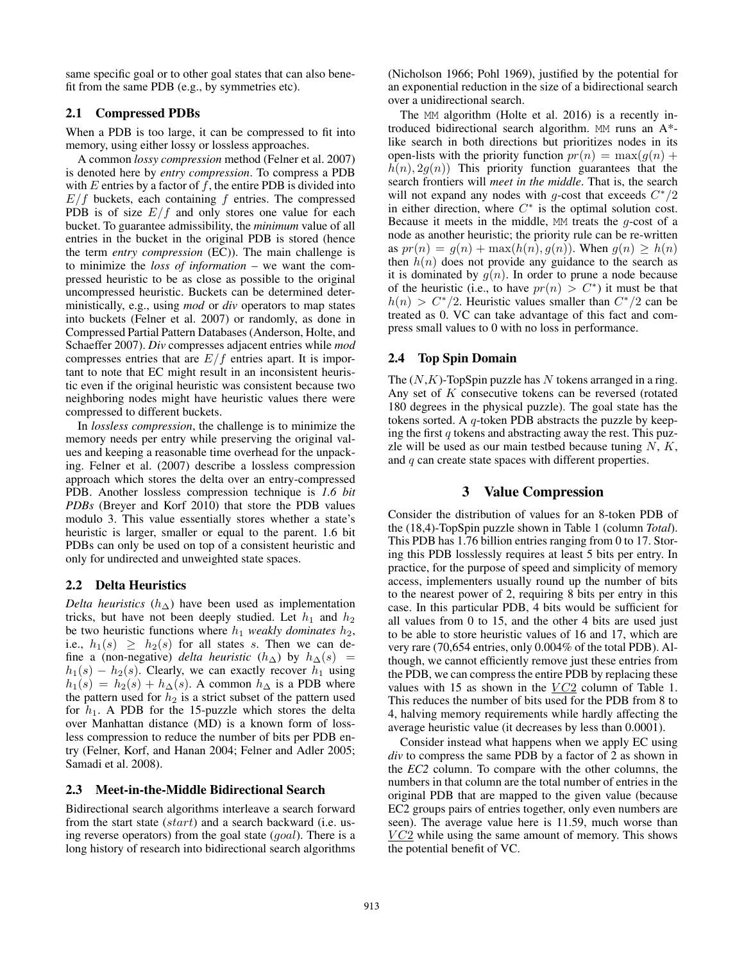same specific goal or to other goal states that can also benefit from the same PDB (e.g., by symmetries etc).

## 2.1 Compressed PDBs

When a PDB is too large, it can be compressed to fit into memory, using either lossy or lossless approaches.

A common *lossy compression* method (Felner et al. 2007) is denoted here by *entry compression*. To compress a PDB with  $E$  entries by a factor of  $f$ , the entire PDB is divided into  $E/f$  buckets, each containing  $f$  entries. The compressed PDB is of size  $E/f$  and only stores one value for each bucket. To guarantee admissibility, the *minimum* value of all entries in the bucket in the original PDB is stored (hence the term *entry compression* (EC)). The main challenge is to minimize the *loss of information* – we want the compressed heuristic to be as close as possible to the original uncompressed heuristic. Buckets can be determined deterministically, e.g., using *mod* or *div* operators to map states into buckets (Felner et al. 2007) or randomly, as done in Compressed Partial Pattern Databases (Anderson, Holte, and Schaeffer 2007). *Div* compresses adjacent entries while *mod* compresses entries that are  $E/f$  entries apart. It is important to note that EC might result in an inconsistent heuristic even if the original heuristic was consistent because two neighboring nodes might have heuristic values there were compressed to different buckets.

In *lossless compression*, the challenge is to minimize the memory needs per entry while preserving the original values and keeping a reasonable time overhead for the unpacking. Felner et al. (2007) describe a lossless compression approach which stores the delta over an entry-compressed PDB. Another lossless compression technique is *1.6 bit PDBs* (Breyer and Korf 2010) that store the PDB values modulo 3. This value essentially stores whether a state's heuristic is larger, smaller or equal to the parent. 1.6 bit PDBs can only be used on top of a consistent heuristic and only for undirected and unweighted state spaces.

#### 2.2 Delta Heuristics

*Delta heuristics*  $(h_{\Delta})$  have been used as implementation tricks, but have not been deeply studied. Let  $h_1$  and  $h_2$ be two heuristic functions where  $h_1$  *weakly dominates*  $h_2$ , i.e.,  $h_1(s) > h_2(s)$  for all states s. Then we can define a (non-negative) *delta heuristic*  $(h_{\Delta})$  by  $h_{\Delta}(s)$  =  $h_1(s) - h_2(s)$ . Clearly, we can exactly recover  $h_1$  using  $h_1(s) = h_2(s) + h_{\Delta}(s)$ . A common  $h_{\Delta}$  is a PDB where the pattern used for  $h_2$  is a strict subset of the pattern used for  $h_1$ . A PDB for the 15-puzzle which stores the delta over Manhattan distance (MD) is a known form of lossless compression to reduce the number of bits per PDB entry (Felner, Korf, and Hanan 2004; Felner and Adler 2005; Samadi et al. 2008).

### 2.3 Meet-in-the-Middle Bidirectional Search

Bidirectional search algorithms interleave a search forward from the start state (start) and a search backward (i.e. using reverse operators) from the goal state (goal). There is a long history of research into bidirectional search algorithms

(Nicholson 1966; Pohl 1969), justified by the potential for an exponential reduction in the size of a bidirectional search over a unidirectional search.

The MM algorithm (Holte et al. 2016) is a recently introduced bidirectional search algorithm. MM runs an  $A^*$ like search in both directions but prioritizes nodes in its open-lists with the priority function  $pr(n) = \max(q(n) +$  $h(n), 2g(n)$  This priority function guarantees that the search frontiers will *meet in the middle*. That is, the search will not expand any nodes with g-cost that exceeds  $C^*/2$ <br>in either direction, where  $C^*$  is the optimal solution cost. in either direction, where  $C^*$  is the optimal solution cost.<br>Because it meets in the middle MM treats the *a*-cost of a Because it meets in the middle,  $MM$  treats the g-cost of a node as another heuristic: the priority rule can be re-written node as another heuristic; the priority rule can be re-written as  $pr(n) = q(n) + \max(h(n), q(n))$ . When  $q(n) > h(n)$ then  $h(n)$  does not provide any guidance to the search as it is dominated by  $q(n)$ . In order to prune a node because of the heuristic (i.e., to have  $pr(n) > C^*$ ) it must be that  $h(n) > C^*/2$ . Heuristic values smaller than  $C^*/2$  can be treated as 0. VC can take advantage of this fact and compress small values to 0 with no loss in performance.

### 2.4 Top Spin Domain

The  $(N,K)$ -TopSpin puzzle has N tokens arranged in a ring. Any set of  $K$  consecutive tokens can be reversed (rotated 180 degrees in the physical puzzle). The goal state has the tokens sorted. A  $q$ -token PDB abstracts the puzzle by keeping the first  $q$  tokens and abstracting away the rest. This puzzle will be used as our main testbed because tuning  $N, K$ , and q can create state spaces with different properties.

### 3 Value Compression

Consider the distribution of values for an 8-token PDB of the (18,4)-TopSpin puzzle shown in Table 1 (column *Total*). This PDB has 1.76 billion entries ranging from 0 to 17. Storing this PDB losslessly requires at least 5 bits per entry. In practice, for the purpose of speed and simplicity of memory access, implementers usually round up the number of bits to the nearest power of 2, requiring 8 bits per entry in this case. In this particular PDB, 4 bits would be sufficient for all values from 0 to 15, and the other 4 bits are used just to be able to store heuristic values of 16 and 17, which are very rare (70,654 entries, only 0.004% of the total PDB). Although, we cannot efficiently remove just these entries from the PDB, we can compress the entire PDB by replacing these values with 15 as shown in the  $VC2$  column of Table 1. This reduces the number of bits used for the PDB from 8 to 4, halving memory requirements while hardly affecting the average heuristic value (it decreases by less than 0.0001).

Consider instead what happens when we apply EC using *div* to compress the same PDB by a factor of 2 as shown in the *EC2* column. To compare with the other columns, the numbers in that column are the total number of entries in the original PDB that are mapped to the given value (because EC2 groups pairs of entries together, only even numbers are seen). The average value here is 11.59, much worse than  $VC2$  while using the same amount of memory. This shows the potential benefit of VC.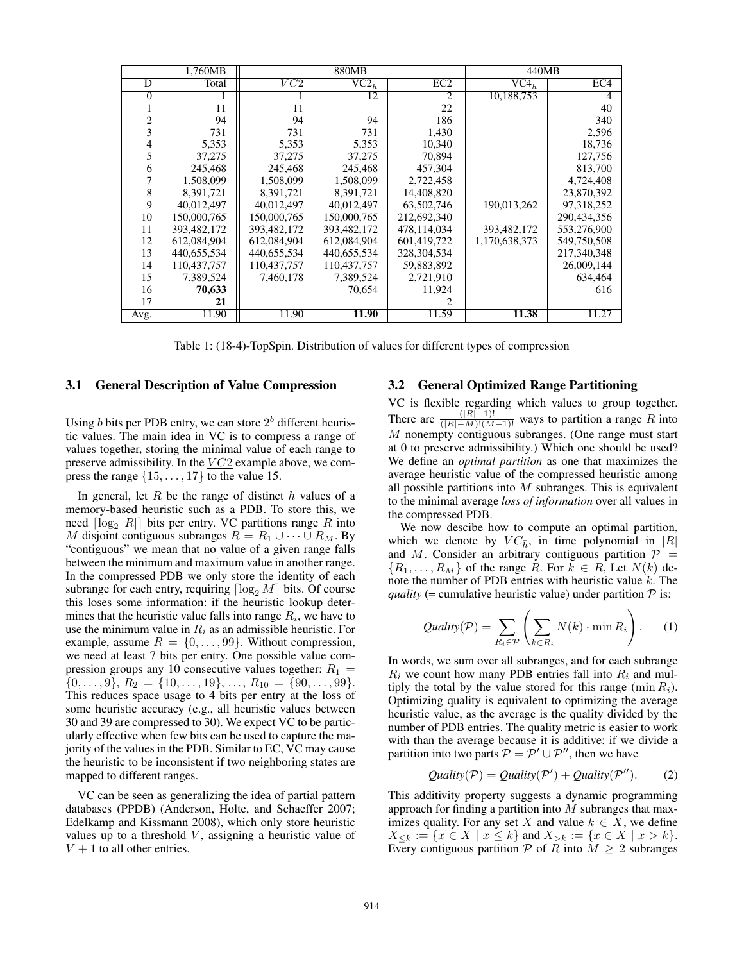|                | 1,760MB     | 880MB            |                                   |                 | 440MB                             |                 |
|----------------|-------------|------------------|-----------------------------------|-----------------|-----------------------------------|-----------------|
| D              | Total       | $\overline{VC2}$ | $\overline{\text{VC2}_{\bar{h}}}$ | EC <sub>2</sub> | $\overline{\text{VC4}_{\bar{h}}}$ | EC <sub>4</sub> |
| $\Omega$       |             |                  | 12                                | 2               | 10,188,753                        | 4               |
|                | 11          | 11               |                                   | 22              |                                   | 40              |
| $\overline{c}$ | 94          | 94               | 94                                | 186             |                                   | 340             |
| 3              | 731         | 731              | 731                               | 1,430           |                                   | 2,596           |
| $\overline{4}$ | 5,353       | 5,353            | 5,353                             | 10,340          |                                   | 18,736          |
| 5              | 37,275      | 37,275           | 37.275                            | 70,894          |                                   | 127,756         |
| 6              | 245,468     | 245,468          | 245,468                           | 457,304         |                                   | 813,700         |
| 7              | 1,508,099   | 1.508.099        | 1,508,099                         | 2,722,458       |                                   | 4.724.408       |
| 8              | 8,391,721   | 8,391,721        | 8,391,721                         | 14,408,820      |                                   | 23,870,392      |
| 9              | 40,012,497  | 40,012,497       | 40,012,497                        | 63,502,746      | 190,013,262                       | 97,318,252      |
| 10             | 150,000,765 | 150,000,765      | 150,000,765                       | 212,692,340     |                                   | 290,434,356     |
| 11             | 393,482,172 | 393,482,172      | 393,482,172                       | 478,114,034     | 393,482,172                       | 553,276,900     |
| 12             | 612,084,904 | 612,084,904      | 612,084,904                       | 601,419,722     | 1,170,638,373                     | 549,750,508     |
| 13             | 440,655,534 | 440,655,534      | 440,655,534                       | 328, 304, 534   |                                   | 217,340,348     |
| 14             | 110,437,757 | 110,437,757      | 110,437,757                       | 59,883,892      |                                   | 26,009,144      |
| 15             | 7,389,524   | 7,460,178        | 7,389,524                         | 2,721,910       |                                   | 634,464         |
| 16             | 70,633      |                  | 70,654                            | 11,924          |                                   | 616             |
| 17             | 21          |                  |                                   | $\mathfrak{D}$  |                                   |                 |
| Avg.           | 11.90       | 11.90            | 11.90                             | 11.59           | 11.38                             | 11.27           |

Table 1: (18-4)-TopSpin. Distribution of values for different types of compression

#### 3.1 General Description of Value Compression

Using b bits per PDB entry, we can store  $2<sup>b</sup>$  different heuristic values. The main idea in VC is to compress a range of values together, storing the minimal value of each range to preserve admissibility. In the  $VC2$  example above, we compress the range  $\{15,\ldots,17\}$  to the value 15.

In general, let R be the range of distinct  $h$  values of a memory-based heuristic such as a PDB. To store this, we need  $\lceil \log_2 |R| \rceil$  bits per entry. VC partitions range R into M disjoint contiguous subranges  $R = R_1 \cup \cdots \cup R_M$ . By "contiguous" we mean that no value of a given range falls between the minimum and maximum value in another range. In the compressed PDB we only store the identity of each subrange for each entry, requiring  $\lceil \log_2 M \rceil$  bits. Of course this loses some information: if the heuristic lookup determines that the heuristic value falls into range  $R_i$ , we have to use the minimum value in  $R_i$  as an admissible heuristic. For example, assume  $R = \{0, \ldots, 99\}$ . Without compression, we need at least 7 bits per entry. One possible value compression groups any 10 consecutive values together:  $R_1 =$  $\{0,\ldots,9\}, R_2 = \{10,\ldots,19\}, \ldots, R_{10} = \{90,\ldots,99\}.$ This reduces space usage to 4 bits per entry at the loss of some heuristic accuracy (e.g., all heuristic values between 30 and 39 are compressed to 30). We expect VC to be particularly effective when few bits can be used to capture the majority of the values in the PDB. Similar to EC, VC may cause the heuristic to be inconsistent if two neighboring states are mapped to different ranges.

VC can be seen as generalizing the idea of partial pattern databases (PPDB) (Anderson, Holte, and Schaeffer 2007; Edelkamp and Kissmann 2008), which only store heuristic values up to a threshold  $V$ , assigning a heuristic value of  $V + 1$  to all other entries.

#### 3.2 General Optimized Range Partitioning

VC is flexible regarding which values to group together. There are  $\frac{(|R|-1)!}{(|R|-M)!(M-1)!}$  ways to partition a range R into  $M$  personally current control of the range must start  $M$  nonempty contiguous subranges. (One range must start at 0 to preserve admissibility.) Which one should be used? We define an *optimal partition* as one that maximizes the average heuristic value of the compressed heuristic among all possible partitions into  $M$  subranges. This is equivalent to the minimal average *loss of information* over all values in the compressed PDB.

We now descibe how to compute an optimal partition, which we denote by  $VC_{\bar{h}}$ , in time polynomial in |R| and M. Consider an arbitrary contiguous partition  $P =$  ${R_1, \ldots, R_M}$  of the range R. For  $k \in R$ , Let  $N(k)$  denote the number of PDB entries with heuristic value  $k$ . The *quality* (= cumulative heuristic value) under partition  $P$  is:

$$
Quality(\mathcal{P}) = \sum_{R_i \in \mathcal{P}} \left( \sum_{k \in R_i} N(k) \cdot \min R_i \right). \tag{1}
$$

In words, we sum over all subranges, and for each subrange  $R_i$  we count how many PDB entries fall into  $R_i$  and multiply the total by the value stored for this range (min  $R_i$ ). Optimizing quality is equivalent to optimizing the average heuristic value, as the average is the quality divided by the number of PDB entries. The quality metric is easier to work with than the average because it is additive: if we divide a partition into two parts  $P = P' \cup P''$ , then we have

$$
Quality(\mathcal{P}) = Quality(\mathcal{P}') + Quality(\mathcal{P}'').
$$
 (2)

This additivity property suggests a dynamic programming approach for finding a partition into  $M$  subranges that maximizes quality. For any set X and value  $k \in X$ , we define  $X_{\leq k} := \{x \in X \mid x \leq k\}$  and  $X_{\geq k} := \{x \in X \mid x > k\}.$ Every contiguous partition  $P$  of R into  $M \geq 2$  subranges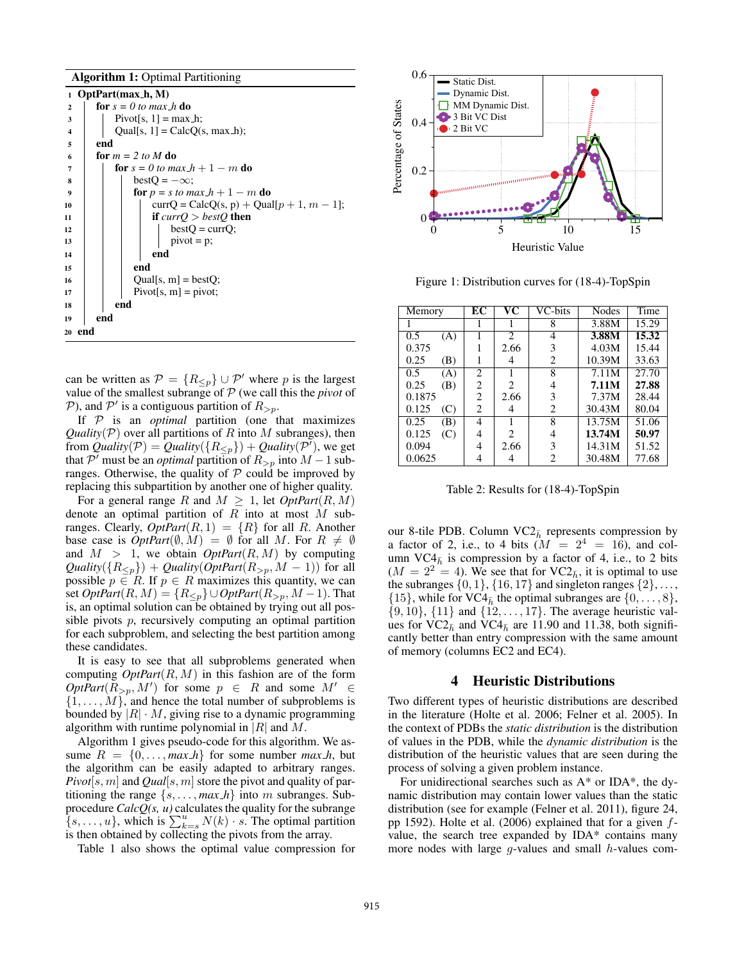Algorithm 1: Optimal Partitioning

1 OptPart(max $\overline{h, M}$ ) 2  $\int$  for  $s = 0$  to max h do  $\text{3}$  | Pivot[s, 1] = max\_h; 4 | Qual[s, 1] = CalcQ(s, max\_h); <sup>5</sup> end 6 **for**  $m = 2$  to M do  $\begin{array}{c|c} 7 \\ \hline 8 \end{array}$  for  $s = 0$  to max  $h + 1 - m$  do<br> $\begin{array}{c} 1 \\ \hline 1 \end{array}$  hest  $O = -\infty$ : 8 bestQ =  $-\infty$ ;<br>9 for  $p = s$  to m 9 **for**  $p = s$  *to max*  $h + 1 - m$  **do**<br>  $\qquad \qquad$   $\qquad \qquad$   $\qquad \qquad$   $\qquad \qquad$   $\qquad \qquad$   $\qquad \qquad$   $\qquad \qquad$   $\qquad \qquad$   $\qquad \qquad$   $\qquad \qquad$   $\qquad \qquad$   $\qquad \qquad$   $\qquad \qquad$   $\qquad \qquad$   $\qquad \qquad$   $\qquad \qquad$   $\qquad \qquad$   $\qquad \qquad$   $\qquad \qquad$   $\qquad \qquad$   $\q$ 10 curr $Q = \text{CalcQ}(s, p) + \text{Qual}[p + 1, m - 1];$ <br>if  $currQ > bestQ$  then if  $currQ > bestQ$  then  $12$  | | | bestQ = currQ;  $13 \mid \cdot \cdot \cdot \cdot \cdot = p;$ 14 | | | | end  $15$  end 16 |  $|$  Qual[s, m] = bestQ;  $17$  | | Pivot[s, m] = pivot;  $18$  end <sup>19</sup> end <sup>20</sup> end

can be written as  $\mathcal{P} = \{R_{\leq p}\}\cup \mathcal{P}'$  where p is the largest value of the smallest subrange of  $\mathcal{P}$  (we call this the *nivot* of value of the smallest subrange of  $P$  (we call this the *pivot* of P), and P' is a contiguous partition of  $R_{>p}$ .<br>If P is an optimal partition (one t

If P is an *optimal* partition (one that maximizes *Quality*( $P$ ) over all partitions of R into M subranges), then from *Quality*( $\mathcal{P}$ ) = *Quality*( $\{R_{\leq p}\}\$ ) + *Quality*( $\mathcal{P}'$ ), we get that  $\mathcal{P}'$  must be an *optimal* partition of  $R_{\leq p}$  into  $M - 1$  subthat P' must be an *optimal* partition of  $R_{>p}$  into  $M - 1$  sub-<br>ranges. Otherwise, the quality of P could be improved by ranges. Otherwise, the quality of  $P$  could be improved by replacing this subpartition by another one of higher quality.

For a general range R and  $M \geq 1$ , let  $OptPart(R, M)$ denote an optimal partition of  $R$  into at most  $M$  subranges. Clearly,  $OptPart(R, 1) = \{R\}$  for all R. Another base case is  $OptPart(\emptyset, M) = \emptyset$  for all M. For  $R \neq \emptyset$ and  $M > 1$ , we obtain *OptPart*( $R, M$ ) by computing  $Quality({R<sub>p</sub>}) + Quality(OptPart({R}_{>p}, M - 1))$  for all possible  $p \in R$ . If  $p \in R$  maximizes this quantity, we can set  $OptPart(R, M) = \{R_{\leq p}\} \cup OptPart(R_{>p}, M-1)$ . That is, an optimal solution can be obtained by trying out all possible pivots p, recursively computing an optimal partition for each subproblem, and selecting the best partition among these candidates.

It is easy to see that all subproblems generated when computing  $OptPart(R, M)$  in this fashion are of the form  $OptPart(R_{\geq p}, M')$  for some  $p \in R$  and some  $M' \in \{1, M\}$  and hence the total number of subproblems is  $\{1,\ldots,M\}$ , and hence the total number of subproblems is bounded by  $|R| \cdot M$ , giving rise to a dynamic programming algorithm with runtime polynomial in  $|R|$  and M.

Algorithm 1 gives pseudo-code for this algorithm. We assume  $R = \{0, \ldots, \text{max\_h}\}\$  for some number  $\text{max\_h}$ , but the algorithm can be easily adapted to arbitrary ranges. *Pivot*[s, m] and *Qual*[s, m] store the pivot and quality of partitioning the range  $\{s, \ldots, \text{max\_h}\}$  into m subranges. Subprocedure *CalcQ(s, u)* calculates the quality for the subrange  $\{s, \ldots, u\}$ , which is  $\sum_{k=s}^{u} N(k) \cdot s$ . The optimal partition is then obtained by collecting the pivots from the array is then obtained by collecting the pivots from the array.

Table 1 also shows the optimal value compression for



Figure 1: Distribution curves for (18-4)-TopSpin

| Memory            |     | EС             | $\overline{\mathbf{v}\mathbf{c}}$ | VC-bits | Nodes  | Time  |
|-------------------|-----|----------------|-----------------------------------|---------|--------|-------|
|                   |     |                |                                   | 8       | 3.88M  | 15.29 |
| 0.5               | (A) |                | $\mathcal{D}_{\mathcal{L}}$       | 4       | 3.88M  | 15.32 |
| 0.375             |     |                | 2.66                              | 3       | 4.03M  | 15.44 |
| 0.25              | (B) |                | 4                                 | 2       | 10.39M | 33.63 |
| 0.5               | (A) | 2              |                                   | 8       | 7.11M  | 27.70 |
| 0.25              | (B) | 2              | 2                                 | 4       | 7.11M  | 27.88 |
| 0.1875            |     | $\overline{c}$ | 2.66                              | 3       | 7.37M  | 28.44 |
| 0.125             | (C) | 2              | 4                                 | 2       | 30.43M | 80.04 |
| $\overline{0.25}$ | (B) | 4              |                                   | 8       | 13.75M | 51.06 |
| 0.125             | (C) | 4              | $\mathfrak{D}$                    | 4       | 13.74M | 50.97 |
| 0.094             |     | 4              | 2.66                              | 3       | 14.31M | 51.52 |
| 0.0625            |     |                |                                   | 2       | 30.48M | 77.68 |

Table 2: Results for (18-4)-TopSpin

our 8-tile PDB. Column  $\text{VC2}_{\bar{h}}$  represents compression by a factor of 2, i.e., to 4 bits  $(M = 2<sup>4</sup> = 16)$ , and column VC4 $_{\bar{h}}$  is compression by a factor of 4, i.e., to 2 bits  $(M = 2<sup>2</sup> = 4)$ . We see that for VC2<sub> $\bar{h}$ </sub>, it is optimal to use the subranges  $\{0, 1\}$ ,  $\{16, 17\}$  and singleton ranges  $\{2\}$ , ...,  $\{15\}$ , while for VC4<sub> $\bar{h}$ </sub> the optimal subranges are  $\{0,\ldots,8\}$ ,  $\{9, 10\}$ ,  $\{11\}$  and  $\{12, ..., 17\}$ . The average heuristic values for VC2 $_{\bar{h}}$  and VC4 $_{\bar{h}}$  are 11.90 and 11.38, both significantly better than entry compression with the same amount of memory (columns EC2 and EC4).

### 4 Heuristic Distributions

Two different types of heuristic distributions are described in the literature (Holte et al. 2006; Felner et al. 2005). In the context of PDBs the *static distribution* is the distribution of values in the PDB, while the *dynamic distribution* is the distribution of the heuristic values that are seen during the process of solving a given problem instance.

For unidirectional searches such as  $A^*$  or IDA\*, the dynamic distribution may contain lower values than the static distribution (see for example (Felner et al. 2011), figure 24, pp 1592). Holte et al. (2006) explained that for a given  $f$ value, the search tree expanded by IDA\* contains many more nodes with large  $g$ -values and small  $h$ -values com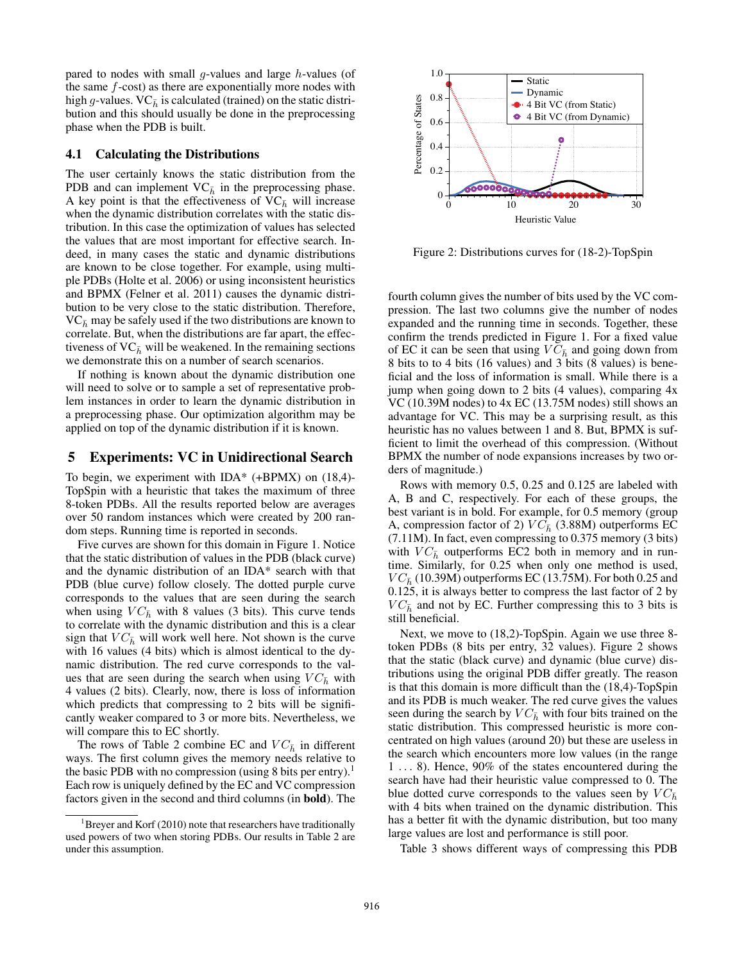pared to nodes with small  $q$ -values and large  $h$ -values (of the same  $f$ -cost) as there are exponentially more nodes with high g-values.  $VC_{\bar{h}}$  is calculated (trained) on the static distribution and this should usually be done in the preprocessing phase when the PDB is built.

#### 4.1 Calculating the Distributions

The user certainly knows the static distribution from the PDB and can implement  $VC_{\bar{h}}$  in the preprocessing phase. A key point is that the effectiveness of  $VC<sub>h</sub>$  will increase when the dynamic distribution correlates with the static distribution. In this case the optimization of values has selected the values that are most important for effective search. Indeed, in many cases the static and dynamic distributions are known to be close together. For example, using multiple PDBs (Holte et al. 2006) or using inconsistent heuristics and BPMX (Felner et al. 2011) causes the dynamic distribution to be very close to the static distribution. Therefore,  $VC<sub>h</sub>$  may be safely used if the two distributions are known to correlate. But, when the distributions are far apart, the effectiveness of  $VC_{\bar{h}}$  will be weakened. In the remaining sections we demonstrate this on a number of search scenarios.

If nothing is known about the dynamic distribution one will need to solve or to sample a set of representative problem instances in order to learn the dynamic distribution in a preprocessing phase. Our optimization algorithm may be applied on top of the dynamic distribution if it is known.

# 5 Experiments: VC in Unidirectional Search

To begin, we experiment with IDA\*  $(+BPMX)$  on  $(18,4)$ -TopSpin with a heuristic that takes the maximum of three 8-token PDBs. All the results reported below are averages over 50 random instances which were created by 200 random steps. Running time is reported in seconds.

Five curves are shown for this domain in Figure 1. Notice that the static distribution of values in the PDB (black curve) and the dynamic distribution of an IDA\* search with that PDB (blue curve) follow closely. The dotted purple curve corresponds to the values that are seen during the search when using  $VC_{\bar{h}}$  with 8 values (3 bits). This curve tends to correlate with the dynamic distribution and this is a clear sign that  $VC_{\bar{h}}$  will work well here. Not shown is the curve with 16 values (4 bits) which is almost identical to the dynamic distribution. The red curve corresponds to the values that are seen during the search when using  $VC_{\bar{h}}$  with 4 values (2 bits). Clearly, now, there is loss of information which predicts that compressing to 2 bits will be significantly weaker compared to 3 or more bits. Nevertheless, we will compare this to EC shortly.

The rows of Table 2 combine EC and  $VC_{\bar{h}}$  in different ways. The first column gives the memory needs relative to the basic PDB with no compression (using 8 bits per entry).<sup>1</sup> Each row is uniquely defined by the EC and VC compression factors given in the second and third columns (in bold). The



Figure 2: Distributions curves for (18-2)-TopSpin

fourth column gives the number of bits used by the VC compression. The last two columns give the number of nodes expanded and the running time in seconds. Together, these confirm the trends predicted in Figure 1. For a fixed value of EC it can be seen that using  $VC_{\bar{h}}$  and going down from 8 bits to to 4 bits (16 values) and 3 bits (8 values) is beneficial and the loss of information is small. While there is a jump when going down to 2 bits (4 values), comparing 4x VC (10.39M nodes) to 4x EC (13.75M nodes) still shows an advantage for VC. This may be a surprising result, as this heuristic has no values between 1 and 8. But, BPMX is sufficient to limit the overhead of this compression. (Without BPMX the number of node expansions increases by two orders of magnitude.)

Rows with memory 0.5, 0.25 and 0.125 are labeled with A, B and C, respectively. For each of these groups, the best variant is in bold. For example, for 0.5 memory (group A, compression factor of 2)  $VC_{\bar{h}}$  (3.88M) outperforms EC (7.11M). In fact, even compressing to 0.375 memory (3 bits) with  $VC_{\bar{h}}$  outperforms EC2 both in memory and in runtime. Similarly, for 0.25 when only one method is used,  $VC_{\bar{h}}$  (10.39M) outperforms EC (13.75M). For both 0.25 and 0.125, it is always better to compress the last factor of 2 by  $VC_{\bar{h}}$  and not by EC. Further compressing this to 3 bits is still beneficial.

Next, we move to (18,2)-TopSpin. Again we use three 8 token PDBs (8 bits per entry, 32 values). Figure 2 shows that the static (black curve) and dynamic (blue curve) distributions using the original PDB differ greatly. The reason is that this domain is more difficult than the (18,4)-TopSpin and its PDB is much weaker. The red curve gives the values seen during the search by  $VC_{\bar{h}}$  with four bits trained on the static distribution. This compressed heuristic is more concentrated on high values (around 20) but these are useless in the search which encounters more low values (in the range <sup>1</sup> ... 8). Hence, 90% of the states encountered during the search have had their heuristic value compressed to 0. The blue dotted curve corresponds to the values seen by  $VC_{\bar{h}}$ with 4 bits when trained on the dynamic distribution. This has a better fit with the dynamic distribution, but too many large values are lost and performance is still poor.

Table 3 shows different ways of compressing this PDB

<sup>&</sup>lt;sup>1</sup>Breyer and Korf (2010) note that researchers have traditionally used powers of two when storing PDBs. Our results in Table 2 are under this assumption.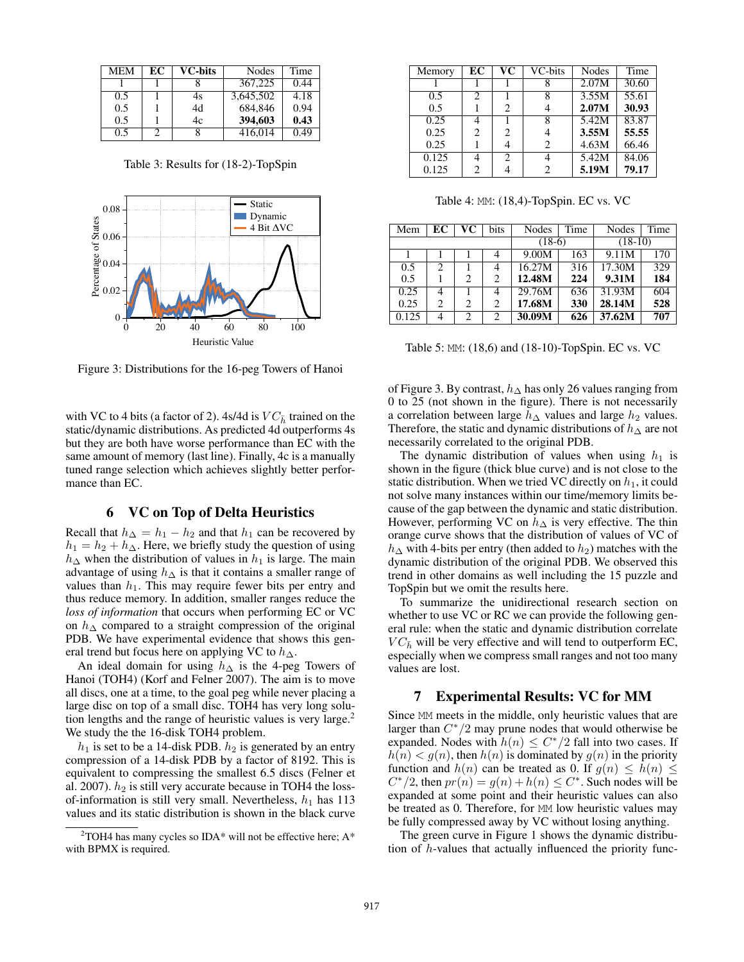| MEM | EC | <b>VC-bits</b> | Nodes     | Time |
|-----|----|----------------|-----------|------|
|     |    |                | 367,225   | 0.44 |
| 0.5 |    | 4s             | 3,645,502 | 4.18 |
| 0.5 |    | 4d             | 684.846   | 0.94 |
| 0.5 |    | 4c             | 394,603   | 0.43 |
| 0.5 |    |                | 416,014   | 0.49 |

Table 3: Results for (18-2)-TopSpin



Figure 3: Distributions for the 16-peg Towers of Hanoi

with VC to 4 bits (a factor of 2). 4s/4d is  $VC_{\bar{h}}$  trained on the static/dynamic distributions. As predicted 4d outperforms 4s but they are both have worse performance than EC with the same amount of memory (last line). Finally, 4c is a manually tuned range selection which achieves slightly better performance than EC.

### 6 VC on Top of Delta Heuristics

Recall that  $h_{\Delta} = h_1 - h_2$  and that  $h_1$  can be recovered by  $h_1 = h_2 + h_{\Delta}$ . Here, we briefly study the question of using  $h_{\Delta}$  when the distribution of values in  $h_1$  is large. The main advantage of using  $h_{\Delta}$  is that it contains a smaller range of values than  $h_1$ . This may require fewer bits per entry and thus reduce memory. In addition, smaller ranges reduce the *loss of information* that occurs when performing EC or VC on  $h_{\Delta}$  compared to a straight compression of the original PDB. We have experimental evidence that shows this general trend but focus here on applying VC to  $h_{\Delta}$ .

An ideal domain for using  $h_{\Delta}$  is the 4-peg Towers of Hanoi (TOH4) (Korf and Felner 2007). The aim is to move all discs, one at a time, to the goal peg while never placing a large disc on top of a small disc. TOH4 has very long solution lengths and the range of heuristic values is very large.<sup>2</sup> We study the the 16-disk TOH4 problem.

 $h_1$  is set to be a 14-disk PDB.  $h_2$  is generated by an entry compression of a 14-disk PDB by a factor of 8192. This is equivalent to compressing the smallest 6.5 discs (Felner et al. 2007).  $h_2$  is still very accurate because in TOH4 the lossof-information is still very small. Nevertheless,  $h_1$  has 113 values and its static distribution is shown in the black curve

| Memory | EС | VС | VC-bits | Nodes | Time  |
|--------|----|----|---------|-------|-------|
|        |    |    |         | 2.07M | 30.60 |
| 0.5    | 2  |    | 8       | 3.55M | 55.61 |
| 0.5    |    | 2  |         | 2.07M | 30.93 |
| 0.25   | 4  |    | 8       | 5.42M | 83.87 |
| 0.25   | 2  | 2  |         | 3.55M | 55.55 |
| 0.25   |    |    | 2       | 4.63M | 66.46 |
| 0.125  | 4  | 2  |         | 5.42M | 84.06 |
| 0.125  | 2  |    |         | 5.19M | 79.17 |

Table 4: MM: (18,4)-TopSpin. EC vs. VC

| Mem   | EС | $\overline{\mathbf{v}\mathbf{c}}$ | bits | Nodes    | Time | Nodes     | Time |
|-------|----|-----------------------------------|------|----------|------|-----------|------|
|       |    |                                   |      | $(18-6)$ |      | $(18-10)$ |      |
|       |    |                                   | 4    | 9.00M    | 163  | 9.11M     | 170  |
| 0.5   | 2  |                                   | 4    | 16.27M   | 316  | 17.30M    | 329  |
| 0.5   |    | 2                                 | 2    | 12.48M   | 224  | 9.31M     | 184  |
| 0.25  | 4  |                                   | 4    | 29.76M   | 636  | 31.93M    | 604  |
| 0.25  | 2  | 2                                 | 2    | 17.68M   | 330  | 28.14M    | 528  |
| 0.125 |    | 2                                 | 2    | 30.09M   | 626  | 37.62M    | 707  |

Table 5: MM: (18,6) and (18-10)-TopSpin. EC vs. VC

of Figure 3. By contrast,  $h_{\Delta}$  has only 26 values ranging from 0 to 25 (not shown in the figure). There is not necessarily a correlation between large  $h_{\Delta}$  values and large  $h_2$  values. Therefore, the static and dynamic distributions of  $h_{\Delta}$  are not necessarily correlated to the original PDB.

The dynamic distribution of values when using  $h_1$  is shown in the figure (thick blue curve) and is not close to the static distribution. When we tried VC directly on  $h_1$ , it could not solve many instances within our time/memory limits because of the gap between the dynamic and static distribution. However, performing VC on  $h_{\Delta}$  is very effective. The thin orange curve shows that the distribution of values of VC of  $h_{\Delta}$  with 4-bits per entry (then added to  $h_2$ ) matches with the dynamic distribution of the original PDB. We observed this trend in other domains as well including the 15 puzzle and TopSpin but we omit the results here.

To summarize the unidirectional research section on whether to use VC or RC we can provide the following general rule: when the static and dynamic distribution correlate  $VC_{\bar{h}}$  will be very effective and will tend to outperform EC, especially when we compress small ranges and not too many values are lost.

### 7 Experimental Results: VC for MM

Since MM meets in the middle, only heuristic values that are larger than  $C^*/2$  may prune nodes that would otherwise be expanded. Nodes with  $h(n) \leq C^*/2$  fall into two cases. If  $h(n) < g(n)$ , then  $h(n)$  is dominated by  $g(n)$  in the priority function and  $h(n)$  can be treated as 0. If  $g(n) \leq h(n) \leq$  $C^*/2$ , then  $pr(n) = g(n) + h(n) \leq C^*$ . Such nodes will be expanded at some point and their heuristic values can also be treated as 0. Therefore, for MM low heuristic values may be fully compressed away by VC without losing anything.

The green curve in Figure 1 shows the dynamic distribution of h-values that actually influenced the priority func-

 $2$ TOH4 has many cycles so IDA\* will not be effective here; A\* with BPMX is required.